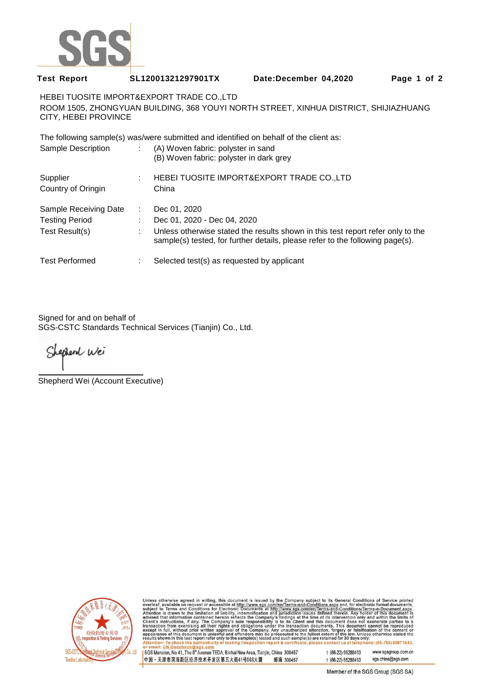

## **Test Report SL12001321297901TX Date:December 04,2020 Page 1 of 2**

HEBEI TUOSITE IMPORT&EXPORT TRADE CO.,LTD ROOM 1505, ZHONGYUAN BUILDING, 368 YOUYI NORTH STREET, XINHUA DISTRICT, SHIJIAZHUANG CITY, HEBEI PROVINCE

The following sample(s) was/were submitted and identified on behalf of the client as:

| Sample Description             | (A) Woven fabric: polyster in sand<br>(B) Woven fabric: polyster in dark grey                                                                                    |
|--------------------------------|------------------------------------------------------------------------------------------------------------------------------------------------------------------|
| Supplier<br>Country of Oringin | HEBEI TUOSITE IMPORT&EXPORT TRADE CO.,LTD<br>China                                                                                                               |
| Sample Receiving Date          | Dec 01, 2020                                                                                                                                                     |
| <b>Testing Period</b>          | Dec 01, 2020 - Dec 04, 2020                                                                                                                                      |
| Test Result(s)                 | Unless otherwise stated the results shown in this test report refer only to the<br>sample(s) tested, for further details, please refer to the following page(s). |
| <b>Test Performed</b>          | Selected test(s) as requested by applicant                                                                                                                       |

Signed for and on behalf of SGS-CSTC Standards Technical Services (Tianjin) Co., Ltd.

Shephend Wei

Shepherd Wei (Account Executive)



Unless otherwise agreed in writing, this document is issued by the Company subject to its General Conditions of Service printed<br>overleaf, available on request or accessible at http://www.sgs.com/en/Terms-and-Conditions.asp

SGS Mansion, No.41, The 5<sup>th</sup> Avenue TEDA, Binhai New Area, Tianjin, China 300457 中国·天津市滨海新区经济技术开发区第五大街41号SGS大厦 邮编 300457 t (86-22) 65288413 www.sasaroup.com.cn t (86-22) 65288413 sgs.china@sgs.com

Member of the SGS Group (SGS SA)